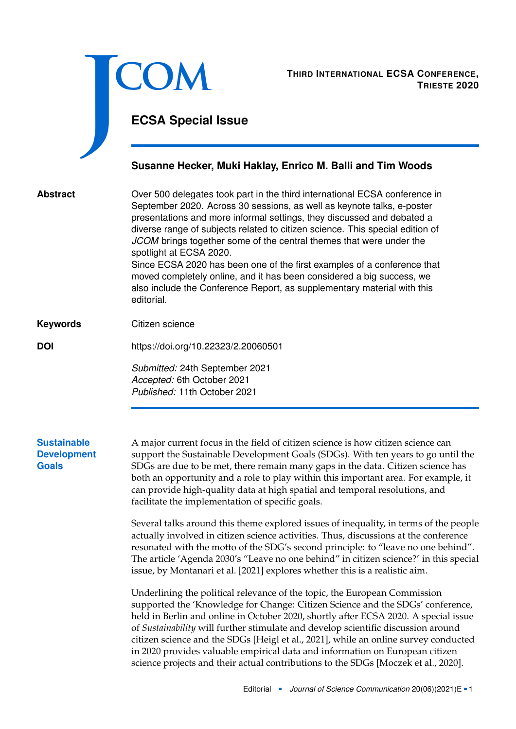<span id="page-0-0"></span>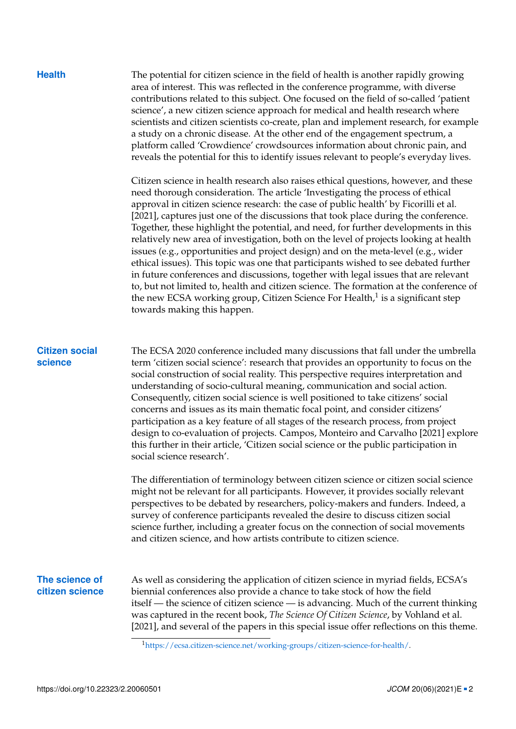| . .<br>×<br>w<br>٧ |  |
|--------------------|--|

The potential for citizen science in the field of health is another rapidly growing area of interest. This was reflected in the conference programme, with diverse contributions related to this subject. One focused on the field of so-called 'patient science', a new citizen science approach for medical and health research where scientists and citizen scientists co-create, plan and implement research, for example a study on a chronic disease. At the other end of the engagement spectrum, a platform called 'Crowdience' crowdsources information about chronic pain, and reveals the potential for this to identify issues relevant to people's everyday lives.

Citizen science in health research also raises ethical questions, however, and these need thorough consideration. The article 'Investigating the process of ethical approval in citizen science research: the case of public health' by Ficorilli et al. [\[2021\]](#page-3-3), captures just one of the discussions that took place during the conference. Together, these highlight the potential, and need, for further developments in this relatively new area of investigation, both on the level of projects looking at health issues (e.g., opportunities and project design) and on the meta-level (e.g., wider ethical issues). This topic was one that participants wished to see debated further in future conferences and discussions, together with legal issues that are relevant to, but not limited to, health and citizen science. The formation at the conference of the new ECSA working group, Citizen Science For Health,<sup>[1](#page-0-0)</sup> is a significant step towards making this happen.

## **Citizen social science**

The ECSA 2020 conference included many discussions that fall under the umbrella term 'citizen social science': research that provides an opportunity to focus on the social construction of social reality. This perspective requires interpretation and understanding of socio-cultural meaning, communication and social action. Consequently, citizen social science is well positioned to take citizens' social concerns and issues as its main thematic focal point, and consider citizens' participation as a key feature of all stages of the research process, from project design to co-evaluation of projects. Campos, Monteiro and Carvalho [\[2021\]](#page-3-4) explore this further in their article, 'Citizen social science or the public participation in social science research'.

The differentiation of terminology between citizen science or citizen social science might not be relevant for all participants. However, it provides socially relevant perspectives to be debated by researchers, policy-makers and funders. Indeed, a survey of conference participants revealed the desire to discuss citizen social science further, including a greater focus on the connection of social movements and citizen science, and how artists contribute to citizen science.

## **The science of citizen science**

As well as considering the application of citizen science in myriad fields, ECSA's biennial conferences also provide a chance to take stock of how the field itself — the science of citizen science — is advancing. Much of the current thinking was captured in the recent book, *The Science Of Citizen Science*, by Vohland et al. [\[2021\]](#page-3-5), and several of the papers in this special issue offer reflections on this theme.

<sup>1</sup>[https://ecsa.citizen-science.net/working-groups/citizen-science-for-health/.](https://ecsa.citizen-science.net/working-groups/citizen-science-for-health/)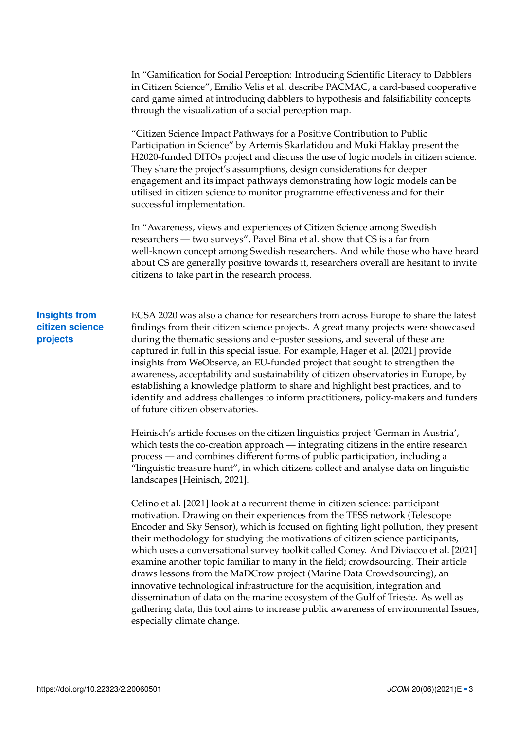In "Gamification for Social Perception: Introducing Scientific Literacy to Dabblers in Citizen Science", Emilio Velis et al. describe PACMAC, a card-based cooperative card game aimed at introducing dabblers to hypothesis and falsifiability concepts through the visualization of a social perception map.

"Citizen Science Impact Pathways for a Positive Contribution to Public Participation in Science" by Artemis Skarlatidou and Muki Haklay present the H2020-funded DITOs project and discuss the use of logic models in citizen science. They share the project's assumptions, design considerations for deeper engagement and its impact pathways demonstrating how logic models can be utilised in citizen science to monitor programme effectiveness and for their successful implementation.

In "Awareness, views and experiences of Citizen Science among Swedish researchers — two surveys", Pavel Bína et al. show that CS is a far from well-known concept among Swedish researchers. And while those who have heard about CS are generally positive towards it, researchers overall are hesitant to invite citizens to take part in the research process.

## **Insights from citizen science projects**

ECSA 2020 was also a chance for researchers from across Europe to share the latest findings from their citizen science projects. A great many projects were showcased during the thematic sessions and e-poster sessions, and several of these are captured in full in this special issue. For example, Hager et al. [\[2021\]](#page-3-6) provide insights from WeObserve, an EU-funded project that sought to strengthen the awareness, acceptability and sustainability of citizen observatories in Europe, by establishing a knowledge platform to share and highlight best practices, and to identify and address challenges to inform practitioners, policy-makers and funders of future citizen observatories.

Heinisch's article focuses on the citizen linguistics project 'German in Austria', which tests the co-creation approach — integrating citizens in the entire research process — and combines different forms of public participation, including a "linguistic treasure hunt", in which citizens collect and analyse data on linguistic landscapes [Heinisch, [2021\]](#page-3-7).

Celino et al. [\[2021\]](#page-3-8) look at a recurrent theme in citizen science: participant motivation. Drawing on their experiences from the TESS network (Telescope Encoder and Sky Sensor), which is focused on fighting light pollution, they present their methodology for studying the motivations of citizen science participants, which uses a conversational survey toolkit called Coney. And Diviacco et al. [\[2021\]](#page-3-9) examine another topic familiar to many in the field; crowdsourcing. Their article draws lessons from the MaDCrow project (Marine Data Crowdsourcing), an innovative technological infrastructure for the acquisition, integration and dissemination of data on the marine ecosystem of the Gulf of Trieste. As well as gathering data, this tool aims to increase public awareness of environmental Issues, especially climate change.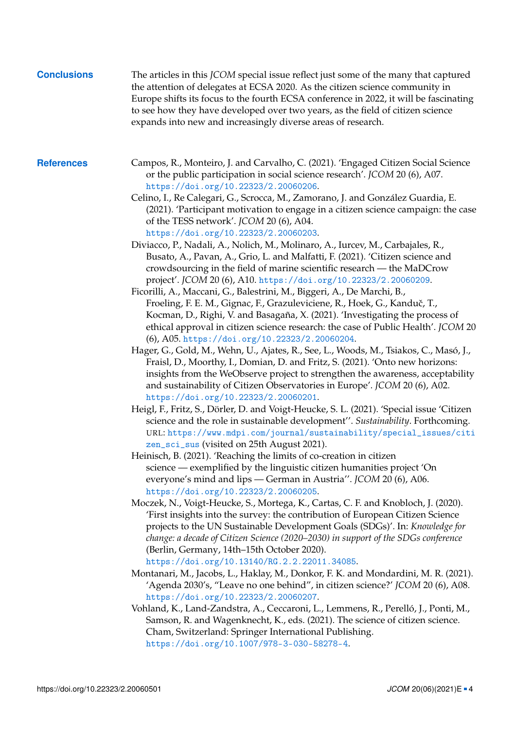<span id="page-3-9"></span><span id="page-3-8"></span><span id="page-3-7"></span><span id="page-3-6"></span><span id="page-3-5"></span><span id="page-3-4"></span><span id="page-3-3"></span><span id="page-3-2"></span><span id="page-3-1"></span><span id="page-3-0"></span>

| <b>Conclusions</b> | The articles in this JCOM special issue reflect just some of the many that captured<br>the attention of delegates at ECSA 2020. As the citizen science community in<br>Europe shifts its focus to the fourth ECSA conference in 2022, it will be fascinating<br>to see how they have developed over two years, as the field of citizen science<br>expands into new and increasingly diverse areas of research.                                                                                                                                                                                                                                                                                                                                                                                                                                                                                                                                                                                                                                                                                                                                                                                                                                                                                                                                                                                                                                                                                                                                                                                                                                                                                                                                                                                                                                                                                                                                                                                                                                                                                                                                                                                                                                                                                                                                                                                                                                                                                                                                                                                                                                                                                                                                                                                                                                                                                                                                                                                                                                             |
|--------------------|------------------------------------------------------------------------------------------------------------------------------------------------------------------------------------------------------------------------------------------------------------------------------------------------------------------------------------------------------------------------------------------------------------------------------------------------------------------------------------------------------------------------------------------------------------------------------------------------------------------------------------------------------------------------------------------------------------------------------------------------------------------------------------------------------------------------------------------------------------------------------------------------------------------------------------------------------------------------------------------------------------------------------------------------------------------------------------------------------------------------------------------------------------------------------------------------------------------------------------------------------------------------------------------------------------------------------------------------------------------------------------------------------------------------------------------------------------------------------------------------------------------------------------------------------------------------------------------------------------------------------------------------------------------------------------------------------------------------------------------------------------------------------------------------------------------------------------------------------------------------------------------------------------------------------------------------------------------------------------------------------------------------------------------------------------------------------------------------------------------------------------------------------------------------------------------------------------------------------------------------------------------------------------------------------------------------------------------------------------------------------------------------------------------------------------------------------------------------------------------------------------------------------------------------------------------------------------------------------------------------------------------------------------------------------------------------------------------------------------------------------------------------------------------------------------------------------------------------------------------------------------------------------------------------------------------------------------------------------------------------------------------------------------------------------------|
| <b>References</b>  | Campos, R., Monteiro, J. and Carvalho, C. (2021). 'Engaged Citizen Social Science<br>or the public participation in social science research'. JCOM 20 (6), A07.<br>https://doi.org/10.22323/2.20060206.<br>Celino, I., Re Calegari, G., Scrocca, M., Zamorano, J. and González Guardia, E.<br>(2021). 'Participant motivation to engage in a citizen science campaign: the case<br>of the TESS network'. JCOM 20 (6), A04.<br>https://doi.org/10.22323/2.20060203.<br>Diviacco, P., Nadali, A., Nolich, M., Molinaro, A., Iurcev, M., Carbajales, R.,<br>Busato, A., Pavan, A., Grio, L. and Malfatti, F. (2021). 'Citizen science and<br>crowdsourcing in the field of marine scientific research — the MaDCrow<br>project'. JCOM 20 (6), A10. https://doi.org/10.22323/2.20060209.<br>Ficorilli, A., Maccani, G., Balestrini, M., Biggeri, A., De Marchi, B.,<br>Froeling, F. E. M., Gignac, F., Grazuleviciene, R., Hoek, G., Kanduč, T.,<br>Kocman, D., Righi, V. and Basagaña, X. (2021). 'Investigating the process of<br>ethical approval in citizen science research: the case of Public Health'. JCOM 20<br>(6), A05. https://doi.org/10.22323/2.20060204.<br>Hager, G., Gold, M., Wehn, U., Ajates, R., See, L., Woods, M., Tsiakos, C., Masó, J.,<br>Fraisl, D., Moorthy, I., Domian, D. and Fritz, S. (2021). 'Onto new horizons:<br>insights from the WeObserve project to strengthen the awareness, acceptability<br>and sustainability of Citizen Observatories in Europe'. JCOM 20 (6), A02.<br>https://doi.org/10.22323/2.20060201.<br>Heigl, F., Fritz, S., Dörler, D. and Voigt-Heucke, S. L. (2021). 'Special issue 'Citizen<br>science and the role in sustainable development". Sustainability. Forthcoming.<br>URL: https://www.mdpi.com/journal/sustainability/special_issues/citi<br>zen_sci_sus (visited on 25th August 2021).<br>Heinisch, B. (2021). 'Reaching the limits of co-creation in citizen<br>science — exemplified by the linguistic citizen humanities project 'On<br>everyone's mind and lips — German in Austria". JCOM 20 (6), A06.<br>https://doi.org/10.22323/2.20060205.<br>Moczek, N., Voigt-Heucke, S., Mortega, K., Cartas, C. F. and Knobloch, J. (2020).<br>'First insights into the survey: the contribution of European Citizen Science<br>projects to the UN Sustainable Development Goals (SDGs)'. In: Knowledge for<br>change: a decade of Citizen Science (2020–2030) in support of the SDGs conference<br>(Berlin, Germany, 14th-15th October 2020).<br>https://doi.org/10.13140/RG.2.2.22011.34085.<br>Montanari, M., Jacobs, L., Haklay, M., Donkor, F. K. and Mondardini, M. R. (2021).<br>'Agenda 2030's, "Leave no one behind", in citizen science?' JCOM 20 (6), A08.<br>https://doi.org/10.22323/2.20060207.<br>Vohland, K., Land-Zandstra, A., Ceccaroni, L., Lemmens, R., Perelló, J., Ponti, M.,<br>Samson, R. and Wagenknecht, K., eds. (2021). The science of citizen science.<br>Cham, Switzerland: Springer International Publishing.<br>https://doi.org/10.1007/978-3-030-58278-4. |
|                    |                                                                                                                                                                                                                                                                                                                                                                                                                                                                                                                                                                                                                                                                                                                                                                                                                                                                                                                                                                                                                                                                                                                                                                                                                                                                                                                                                                                                                                                                                                                                                                                                                                                                                                                                                                                                                                                                                                                                                                                                                                                                                                                                                                                                                                                                                                                                                                                                                                                                                                                                                                                                                                                                                                                                                                                                                                                                                                                                                                                                                                                            |